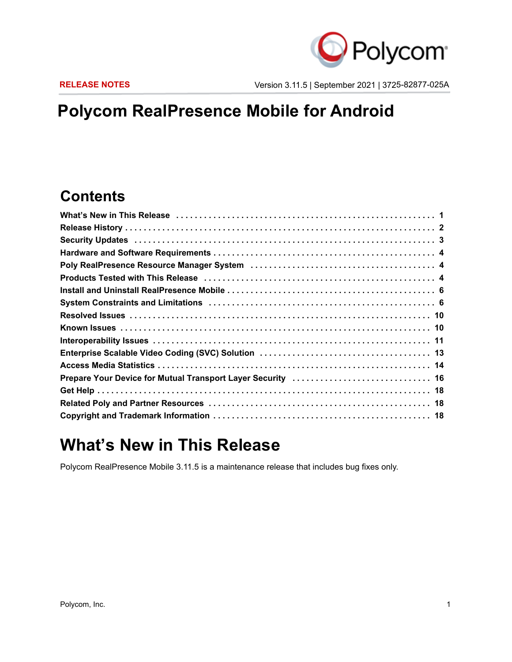

**RELEASE NOTES** Version 3.11.5 | September 2021 | 3725-82877-025A

# **Polycom RealPresence Mobile for Android**

### **Contents**

| Prepare Your Device for Mutual Transport Layer Security  16 |
|-------------------------------------------------------------|
|                                                             |
|                                                             |
|                                                             |

## <span id="page-0-0"></span>**What's New in This Release**

Polycom RealPresence Mobile 3.11.5 is a maintenance release that includes bug fixes only.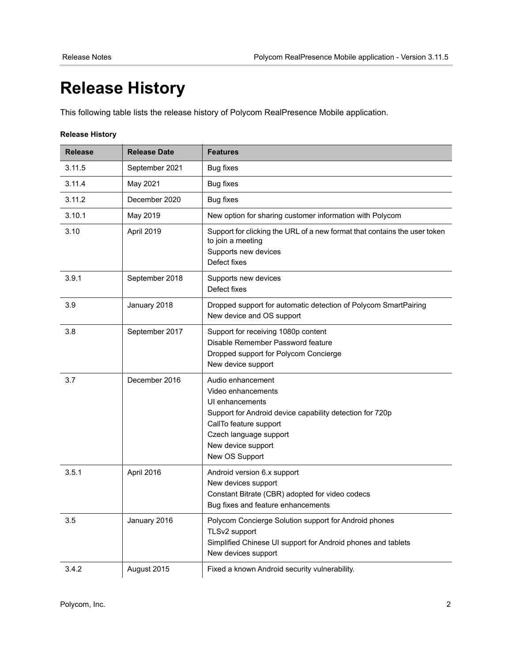# <span id="page-1-0"></span>**Release History**

This following table lists the release history of Polycom RealPresence Mobile application.

### **Release History**

| <b>Release</b> | <b>Release Date</b> | <b>Features</b>                                                                                                                                                                                                    |
|----------------|---------------------|--------------------------------------------------------------------------------------------------------------------------------------------------------------------------------------------------------------------|
| 3.11.5         | September 2021      | Bug fixes                                                                                                                                                                                                          |
| 3.11.4         | May 2021            | <b>Bug fixes</b>                                                                                                                                                                                                   |
| 3.11.2         | December 2020       | Bug fixes                                                                                                                                                                                                          |
| 3.10.1         | May 2019            | New option for sharing customer information with Polycom                                                                                                                                                           |
| 3.10           | April 2019          | Support for clicking the URL of a new format that contains the user token<br>to join a meeting<br>Supports new devices<br>Defect fixes                                                                             |
| 3.9.1          | September 2018      | Supports new devices<br>Defect fixes                                                                                                                                                                               |
| 3.9            | January 2018        | Dropped support for automatic detection of Polycom SmartPairing<br>New device and OS support                                                                                                                       |
| 3.8            | September 2017      | Support for receiving 1080p content<br>Disable Remember Password feature<br>Dropped support for Polycom Concierge<br>New device support                                                                            |
| 3.7            | December 2016       | Audio enhancement<br>Video enhancements<br>UI enhancements<br>Support for Android device capability detection for 720p<br>CallTo feature support<br>Czech language support<br>New device support<br>New OS Support |
| 3.5.1          | April 2016          | Android version 6.x support<br>New devices support<br>Constant Bitrate (CBR) adopted for video codecs<br>Bug fixes and feature enhancements                                                                        |
| 3.5            | January 2016        | Polycom Concierge Solution support for Android phones<br>TLSv2 support<br>Simplified Chinese UI support for Android phones and tablets<br>New devices support                                                      |
| 3.4.2          | August 2015         | Fixed a known Android security vulnerability.                                                                                                                                                                      |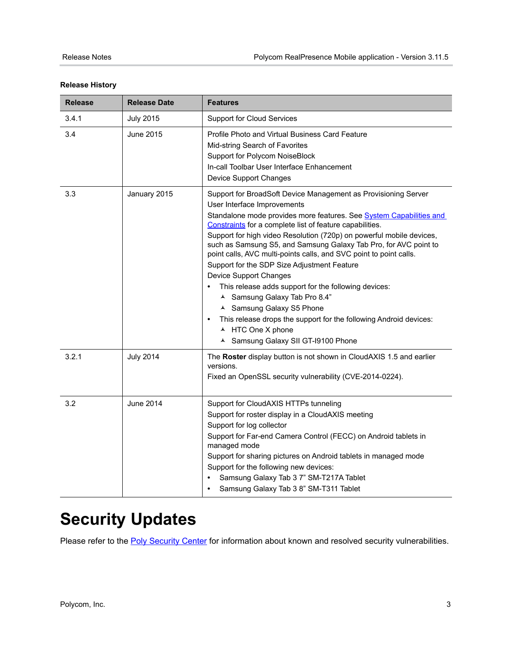| <b>Release</b> | <b>Release Date</b> | <b>Features</b>                                                                                                                                                                                                                                                                                                                                                                                                                                                                                                                                                                                                                                                                                                                                                                                 |
|----------------|---------------------|-------------------------------------------------------------------------------------------------------------------------------------------------------------------------------------------------------------------------------------------------------------------------------------------------------------------------------------------------------------------------------------------------------------------------------------------------------------------------------------------------------------------------------------------------------------------------------------------------------------------------------------------------------------------------------------------------------------------------------------------------------------------------------------------------|
| 3.4.1          | <b>July 2015</b>    | <b>Support for Cloud Services</b>                                                                                                                                                                                                                                                                                                                                                                                                                                                                                                                                                                                                                                                                                                                                                               |
| 3.4            | June 2015           | Profile Photo and Virtual Business Card Feature<br>Mid-string Search of Favorites<br>Support for Polycom NoiseBlock<br>In-call Toolbar User Interface Enhancement<br>Device Support Changes                                                                                                                                                                                                                                                                                                                                                                                                                                                                                                                                                                                                     |
| 3.3            | January 2015        | Support for BroadSoft Device Management as Provisioning Server<br>User Interface Improvements<br>Standalone mode provides more features. See System Capabilities and<br>Constraints for a complete list of feature capabilities.<br>Support for high video Resolution (720p) on powerful mobile devices,<br>such as Samsung S5, and Samsung Galaxy Tab Pro, for AVC point to<br>point calls, AVC multi-points calls, and SVC point to point calls.<br>Support for the SDP Size Adjustment Feature<br>Device Support Changes<br>This release adds support for the following devices:<br>▲ Samsung Galaxy Tab Pro 8.4"<br>▲ Samsung Galaxy S5 Phone<br>This release drops the support for the following Android devices:<br>$\bullet$<br>▲ HTC One X phone<br>▲ Samsung Galaxy SII GT-I9100 Phone |
| 3.2.1          | <b>July 2014</b>    | The Roster display button is not shown in CloudAXIS 1.5 and earlier<br>versions.<br>Fixed an OpenSSL security vulnerability (CVE-2014-0224).                                                                                                                                                                                                                                                                                                                                                                                                                                                                                                                                                                                                                                                    |
| 3.2            | <b>June 2014</b>    | Support for CloudAXIS HTTPs tunneling<br>Support for roster display in a CloudAXIS meeting<br>Support for log collector<br>Support for Far-end Camera Control (FECC) on Android tablets in<br>managed mode<br>Support for sharing pictures on Android tablets in managed mode<br>Support for the following new devices:<br>Samsung Galaxy Tab 3 7" SM-T217A Tablet<br>Samsung Galaxy Tab 3 8" SM-T311 Tablet<br>$\bullet$                                                                                                                                                                                                                                                                                                                                                                       |

### **Release History**

# <span id="page-2-0"></span>**Security Updates**

Please refer to the [Poly Security Center](https://support.polycom.com/content/support/security-center.html) for information about known and resolved security vulnerabilities.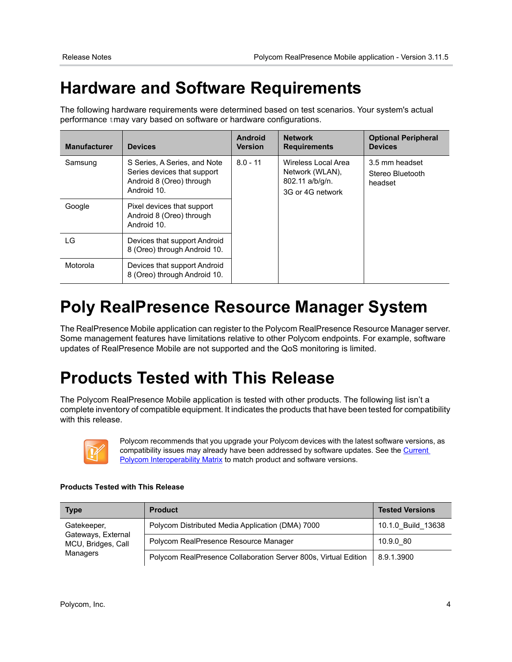# **Hardware and Software Requirements**

The following hardware requirements were determined based on test scenarios. Your system's actual performance tmay vary based on software or hardware configurations.

| <b>Manufacturer</b> | <b>Devices</b>                                                                                         | Android<br><b>Version</b> | <b>Network</b><br><b>Requirements</b>                                         | <b>Optional Peripheral</b><br><b>Devices</b>  |
|---------------------|--------------------------------------------------------------------------------------------------------|---------------------------|-------------------------------------------------------------------------------|-----------------------------------------------|
| Samsung             | S Series, A Series, and Note<br>Series devices that support<br>Android 8 (Oreo) through<br>Android 10. | $8.0 - 11$                | Wireless Local Area<br>Network (WLAN),<br>802.11 a/b/g/n.<br>3G or 4G network | 3.5 mm headset<br>Stereo Bluetooth<br>headset |
| Google              | Pixel devices that support<br>Android 8 (Oreo) through<br>Android 10.                                  |                           |                                                                               |                                               |
| LG                  | Devices that support Android<br>8 (Oreo) through Android 10.                                           |                           |                                                                               |                                               |
| Motorola            | Devices that support Android<br>8 (Oreo) through Android 10.                                           |                           |                                                                               |                                               |

# <span id="page-3-0"></span>**Poly RealPresence Resource Manager System**

The RealPresence Mobile application can register to the Polycom RealPresence Resource Manager server. Some management features have limitations relative to other Polycom endpoints. For example, software updates of RealPresence Mobile are not supported and the QoS monitoring is limited.

# <span id="page-3-1"></span>**Products Tested with This Release**

The Polycom RealPresence Mobile application is tested with other products. The following list isn't a complete inventory of compatible equipment. It indicates the products that have been tested for compatibility with this release.



Polycom recommends that you upgrade your Polycom devices with the latest software versions, as compatibility issues may already have been addressed by software updates. See the Current [Polycom Interoperability Matrix](http://support.polycom.com/PolycomService/support/us/support/service_policies.html) to match product and software versions.

Polycom RealPresence Collaboration Server 800s, Virtual Edition | 8.9.1.3900

#### **Type Product Tested Versions** Gatekeeper, Gateways, External MCU, Bridges, Call Polycom Distributed Media Application (DMA) 7000 | 10.1.0 Build 13638 Polycom RealPresence Resource Manager 10.9.0\_80

### **Products Tested with This Release**

Managers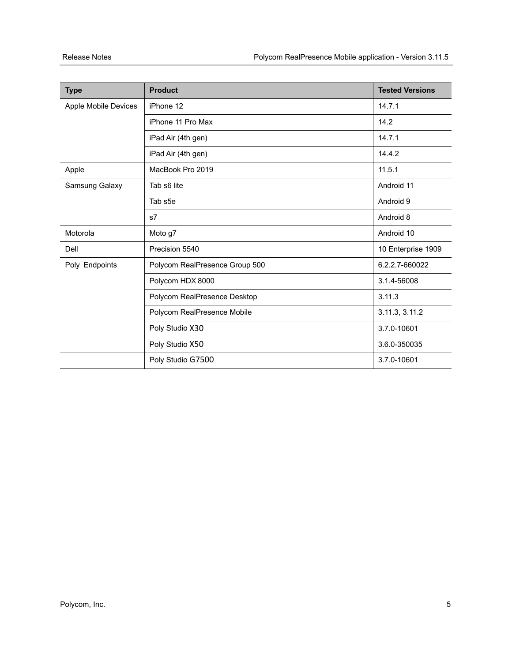| <b>Type</b>          | <b>Product</b>                 | <b>Tested Versions</b> |
|----------------------|--------------------------------|------------------------|
| Apple Mobile Devices | iPhone 12                      | 14.7.1                 |
|                      | iPhone 11 Pro Max              | 14.2                   |
|                      | iPad Air (4th gen)             | 14.7.1                 |
|                      | iPad Air (4th gen)             | 14.4.2                 |
| Apple                | MacBook Pro 2019               | 11.5.1                 |
| Samsung Galaxy       | Tab s6 lite                    | Android 11             |
|                      | Tab s5e                        | Android 9              |
|                      | s7                             | Android 8              |
| Motorola             | Moto g7                        | Android 10             |
| Dell                 | Precision 5540                 | 10 Enterprise 1909     |
| Poly Endpoints       | Polycom RealPresence Group 500 | 6.2.2.7-660022         |
|                      | Polycom HDX 8000               | 3.1.4-56008            |
|                      | Polycom RealPresence Desktop   | 3.11.3                 |
|                      | Polycom RealPresence Mobile    | 3.11.3, 3.11.2         |
|                      | Poly Studio X30                | 3.7.0-10601            |
|                      | Poly Studio X50                | 3.6.0-350035           |
|                      | Poly Studio G7500              | 3.7.0-10601            |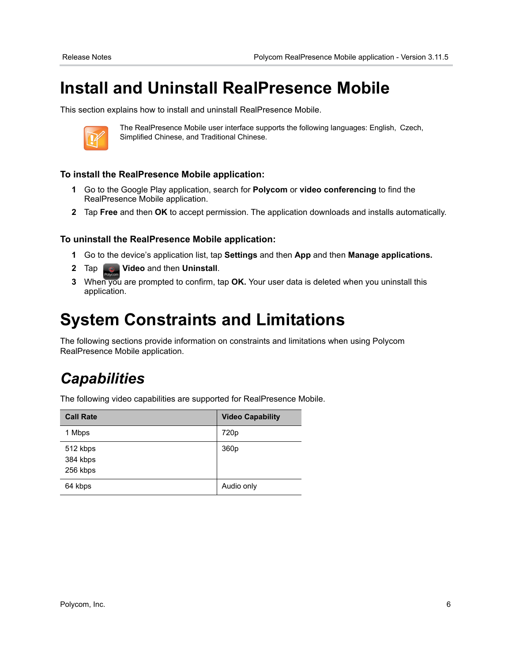# <span id="page-5-0"></span>**Install and Uninstall RealPresence Mobile**

This section explains how to install and uninstall RealPresence Mobile.



The RealPresence Mobile user interface supports the following languages: English, Czech, Simplified Chinese, and Traditional Chinese.

### **To install the RealPresence Mobile application:**

- **1** Go to the Google Play application, search for **Polycom** or **video conferencing** to find the RealPresence Mobile application.
- **2** Tap **Free** and then **OK** to accept permission. The application downloads and installs automatically.

### **To uninstall the RealPresence Mobile application:**

- **1** Go to the device's application list, tap **Settings** and then **App** and then **Manage applications.**
- **2** Tap **Video** and then **Uninstall**.
- **3** When you are prompted to confirm, tap **OK.** Your user data is deleted when you uninstall this application.

## <span id="page-5-1"></span>**System Constraints and Limitations**

The following sections provide information on constraints and limitations when using Polycom RealPresence Mobile application.

### *Capabilities*

The following video capabilities are supported for RealPresence Mobile.

| <b>Call Rate</b>                 | <b>Video Capability</b> |
|----------------------------------|-------------------------|
| 1 Mbps                           | 720 <sub>p</sub>        |
| 512 kbps<br>384 kbps<br>256 kbps | 360p                    |
| 64 kbps                          | Audio only              |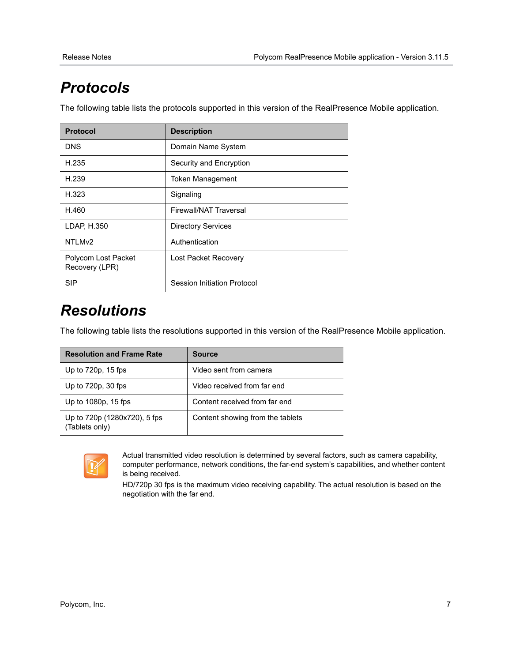# *Protocols*

The following table lists the protocols supported in this version of the RealPresence Mobile application.

| <b>Protocol</b>                       | <b>Description</b>            |
|---------------------------------------|-------------------------------|
| <b>DNS</b>                            | Domain Name System            |
| H.235                                 | Security and Encryption       |
| H.239                                 | <b>Token Management</b>       |
| H.323                                 | Signaling                     |
| H.460                                 | <b>Firewall/NAT Traversal</b> |
| LDAP, H.350                           | <b>Directory Services</b>     |
| NTLM <sub>v2</sub>                    | Authentication                |
| Polycom Lost Packet<br>Recovery (LPR) | Lost Packet Recovery          |
| <b>SIP</b>                            | Session Initiation Protocol   |

### *Resolutions*

The following table lists the resolutions supported in this version of the RealPresence Mobile application.

| <b>Resolution and Frame Rate</b>               | <b>Source</b>                    |
|------------------------------------------------|----------------------------------|
| Up to 720p, 15 fps                             | Video sent from camera           |
| Up to $720p$ , $30$ fps                        | Video received from far end      |
| Up to 1080p, 15 fps                            | Content received from far end    |
| Up to 720p (1280x720), 5 fps<br>(Tablets only) | Content showing from the tablets |



Actual transmitted video resolution is determined by several factors, such as camera capability, computer performance, network conditions, the far-end system's capabilities, and whether content is being received.

HD/720p 30 fps is the maximum video receiving capability. The actual resolution is based on the negotiation with the far end.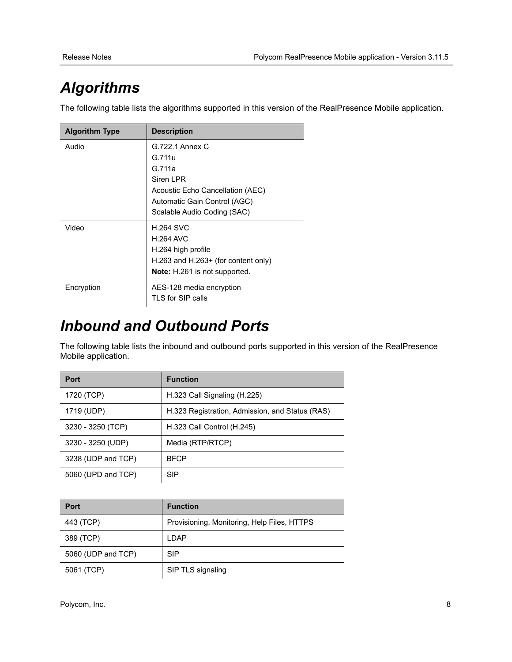# *Algorithms*

The following table lists the algorithms supported in this version of the RealPresence Mobile application.

| <b>Algorithm Type</b> | <b>Description</b>                   |
|-----------------------|--------------------------------------|
| Audio                 | G.722.1 Annex C                      |
|                       | G.711u                               |
|                       | G <sub>711a</sub>                    |
|                       | Siren LPR                            |
|                       | Acoustic Echo Cancellation (AEC)     |
|                       | Automatic Gain Control (AGC)         |
|                       | Scalable Audio Coding (SAC)          |
| Video                 | <b>H.264 SVC</b>                     |
|                       | <b>H.264 AVC</b>                     |
|                       | H.264 high profile                   |
|                       | H.263 and H.263+ (for content only)  |
|                       | <b>Note:</b> H.261 is not supported. |
| Encryption            | AES-128 media encryption             |
|                       | TLS for SIP calls                    |

### *Inbound and Outbound Ports*

The following table lists the inbound and outbound ports supported in this version of the RealPresence Mobile application.

| Port               | <b>Function</b>                                 |
|--------------------|-------------------------------------------------|
| 1720 (TCP)         | H.323 Call Signaling (H.225)                    |
| 1719 (UDP)         | H.323 Registration, Admission, and Status (RAS) |
| 3230 - 3250 (TCP)  | H.323 Call Control (H.245)                      |
| 3230 - 3250 (UDP)  | Media (RTP/RTCP)                                |
| 3238 (UDP and TCP) | <b>BFCP</b>                                     |
| 5060 (UPD and TCP) | <b>SIP</b>                                      |

| <b>Port</b>        | <b>Function</b>                             |
|--------------------|---------------------------------------------|
| 443 (TCP)          | Provisioning, Monitoring, Help Files, HTTPS |
| 389 (TCP)          | LDAP                                        |
| 5060 (UDP and TCP) | <b>SIP</b>                                  |
| 5061 (TCP)         | SIP TLS signaling                           |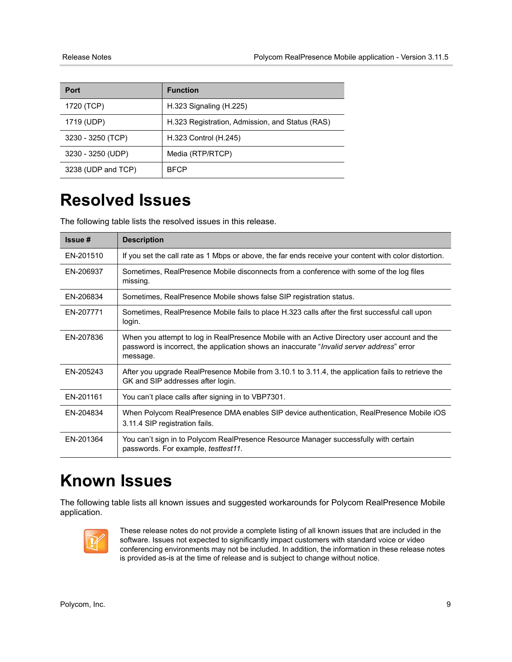| <b>Port</b>        | <b>Function</b>                                 |
|--------------------|-------------------------------------------------|
| 1720 (TCP)         | $H.323$ Signaling ( $H.225$ )                   |
| 1719 (UDP)         | H.323 Registration, Admission, and Status (RAS) |
| 3230 - 3250 (TCP)  | H.323 Control (H.245)                           |
| 3230 - 3250 (UDP)  | Media (RTP/RTCP)                                |
| 3238 (UDP and TCP) | <b>BFCP</b>                                     |

# <span id="page-8-0"></span>**Resolved Issues**

The following table lists the resolved issues in this release.

| Issue #   | <b>Description</b>                                                                                                                                                                                    |
|-----------|-------------------------------------------------------------------------------------------------------------------------------------------------------------------------------------------------------|
| EN-201510 | If you set the call rate as 1 Mbps or above, the far ends receive your content with color distortion.                                                                                                 |
| EN-206937 | Sometimes, RealPresence Mobile disconnects from a conference with some of the log files<br>missing.                                                                                                   |
| EN-206834 | Sometimes, RealPresence Mobile shows false SIP registration status.                                                                                                                                   |
| EN-207771 | Sometimes, RealPresence Mobile fails to place H.323 calls after the first successful call upon<br>login.                                                                                              |
| EN-207836 | When you attempt to log in RealPresence Mobile with an Active Directory user account and the<br>password is incorrect, the application shows an inaccurate "Invalid server address" error<br>message. |
| FN-205243 | After you upgrade RealPresence Mobile from 3.10.1 to 3.11.4, the application fails to retrieve the<br>GK and SIP addresses after login.                                                               |
| EN-201161 | You can't place calls after signing in to VBP7301.                                                                                                                                                    |
| EN-204834 | When Polycom RealPresence DMA enables SIP device authentication, RealPresence Mobile iOS<br>3.11.4 SIP registration fails.                                                                            |
| EN-201364 | You can't sign in to Polycom RealPresence Resource Manager successfully with certain<br>passwords. For example, <i>testtest11</i> .                                                                   |

## <span id="page-8-1"></span>**Known Issues**

The following table lists all known issues and suggested workarounds for Polycom RealPresence Mobile application.



These release notes do not provide a complete listing of all known issues that are included in the software. Issues not expected to significantly impact customers with standard voice or video conferencing environments may not be included. In addition, the information in these release notes is provided as-is at the time of release and is subject to change without notice.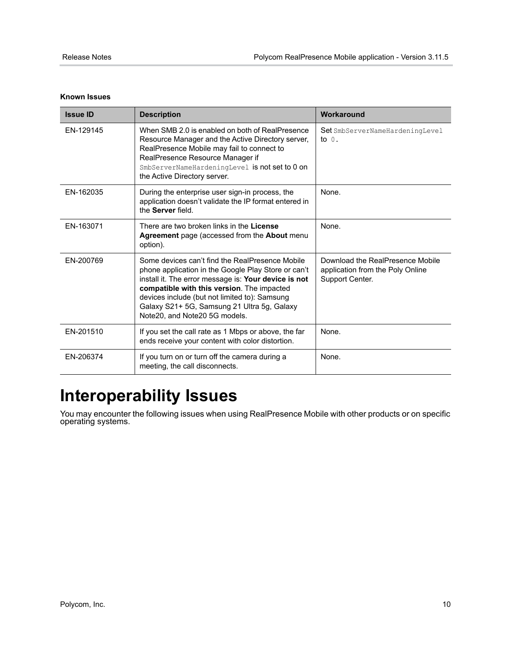| <b>Issue ID</b> | <b>Description</b>                                                                                                                                                                                                                                                                                                                            | Workaround                                                                              |
|-----------------|-----------------------------------------------------------------------------------------------------------------------------------------------------------------------------------------------------------------------------------------------------------------------------------------------------------------------------------------------|-----------------------------------------------------------------------------------------|
| EN-129145       | When SMB 2.0 is enabled on both of RealPresence<br>Resource Manager and the Active Directory server,<br>RealPresence Mobile may fail to connect to<br>RealPresence Resource Manager if<br>SmbServerNameHardeningLevel is not set to 0 on<br>the Active Directory server.                                                                      | Set SmbServerNameHardeningLevel<br>to $0$ .                                             |
| FN-162035       | During the enterprise user sign-in process, the<br>application doesn't validate the IP format entered in<br>the Server field.                                                                                                                                                                                                                 | None.                                                                                   |
| EN-163071       | There are two broken links in the License<br>Agreement page (accessed from the About menu<br>option).                                                                                                                                                                                                                                         | None.                                                                                   |
| EN-200769       | Some devices can't find the RealPresence Mobile<br>phone application in the Google Play Store or can't<br>install it. The error message is: Your device is not<br>compatible with this version. The impacted<br>devices include (but not limited to): Samsung<br>Galaxy S21+ 5G, Samsung 21 Ultra 5g, Galaxy<br>Note20, and Note20 5G models. | Download the RealPresence Mobile<br>application from the Poly Online<br>Support Center. |
| EN-201510       | If you set the call rate as 1 Mbps or above, the far<br>ends receive your content with color distortion.                                                                                                                                                                                                                                      | None.                                                                                   |
| EN-206374       | If you turn on or turn off the camera during a<br>meeting, the call disconnects.                                                                                                                                                                                                                                                              | None.                                                                                   |

#### **Known Issues**

# <span id="page-9-0"></span>**Interoperability Issues**

You may encounter the following issues when using RealPresence Mobile with other products or on specific operating systems.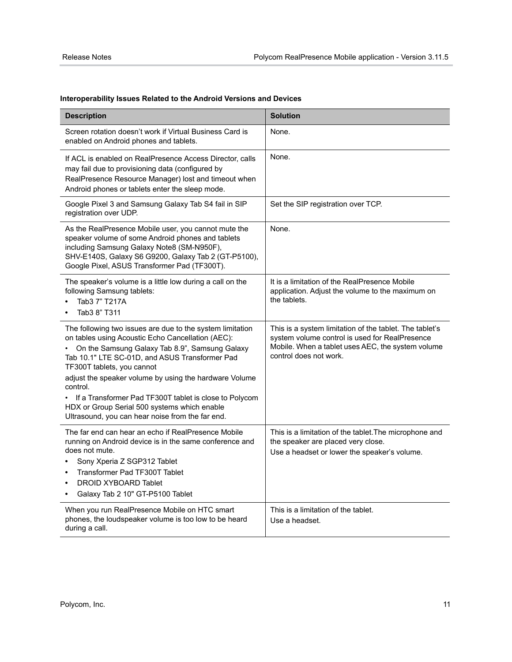| <b>Description</b>                                                                                                                                                                                                                                                                                                                                                                                                                                                                   | <b>Solution</b>                                                                                                                                                                          |
|--------------------------------------------------------------------------------------------------------------------------------------------------------------------------------------------------------------------------------------------------------------------------------------------------------------------------------------------------------------------------------------------------------------------------------------------------------------------------------------|------------------------------------------------------------------------------------------------------------------------------------------------------------------------------------------|
| Screen rotation doesn't work if Virtual Business Card is<br>enabled on Android phones and tablets.                                                                                                                                                                                                                                                                                                                                                                                   | None.                                                                                                                                                                                    |
| If ACL is enabled on RealPresence Access Director, calls<br>may fail due to provisioning data (configured by<br>RealPresence Resource Manager) lost and timeout when<br>Android phones or tablets enter the sleep mode.                                                                                                                                                                                                                                                              | None.                                                                                                                                                                                    |
| Google Pixel 3 and Samsung Galaxy Tab S4 fail in SIP<br>registration over UDP.                                                                                                                                                                                                                                                                                                                                                                                                       | Set the SIP registration over TCP.                                                                                                                                                       |
| As the RealPresence Mobile user, you cannot mute the<br>speaker volume of some Android phones and tablets<br>including Samsung Galaxy Note8 (SM-N950F),<br>SHV-E140S, Galaxy S6 G9200, Galaxy Tab 2 (GT-P5100),<br>Google Pixel, ASUS Transformer Pad (TF300T).                                                                                                                                                                                                                      | None.                                                                                                                                                                                    |
| The speaker's volume is a little low during a call on the<br>following Samsung tablets:<br>Tab3 7" T217A<br>Tab3 8" T311                                                                                                                                                                                                                                                                                                                                                             | It is a limitation of the RealPresence Mobile<br>application. Adjust the volume to the maximum on<br>the tablets.                                                                        |
| The following two issues are due to the system limitation<br>on tables using Acoustic Echo Cancellation (AEC):<br>On the Samsung Galaxy Tab 8.9", Samsung Galaxy<br>Tab 10.1" LTE SC-01D, and ASUS Transformer Pad<br>TF300T tablets, you cannot<br>adjust the speaker volume by using the hardware Volume<br>control.<br>If a Transformer Pad TF300T tablet is close to Polycom<br>HDX or Group Serial 500 systems which enable<br>Ultrasound, you can hear noise from the far end. | This is a system limitation of the tablet. The tablet's<br>system volume control is used for RealPresence<br>Mobile. When a tablet uses AEC, the system volume<br>control does not work. |
| The far end can hear an echo if RealPresence Mobile<br>running on Android device is in the same conference and<br>does not mute.<br>Sony Xperia Z SGP312 Tablet<br>Transformer Pad TF300T Tablet<br><b>DROID XYBOARD Tablet</b><br>$\bullet$<br>Galaxy Tab 2 10" GT-P5100 Tablet<br>$\bullet$                                                                                                                                                                                        | This is a limitation of the tablet. The microphone and<br>the speaker are placed very close.<br>Use a headset or lower the speaker's volume.                                             |
| When you run RealPresence Mobile on HTC smart<br>phones, the loudspeaker volume is too low to be heard<br>during a call.                                                                                                                                                                                                                                                                                                                                                             | This is a limitation of the tablet.<br>Use a headset.                                                                                                                                    |

### **Interoperability Issues Related to the Android Versions and Devices**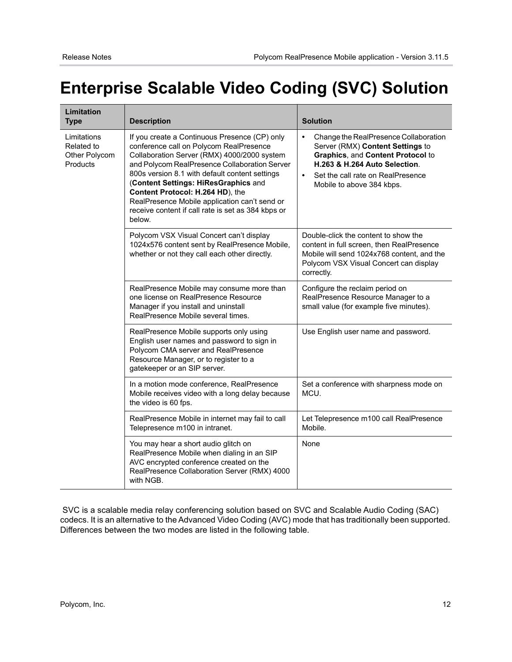# <span id="page-11-0"></span>**Enterprise Scalable Video Coding (SVC) Solution**

| Limitation<br><b>Type</b>                                     | <b>Description</b>                                                                                                                                                                                                                                                                                                                                                                                                                      | <b>Solution</b>                                                                                                                                                                                                                             |
|---------------------------------------------------------------|-----------------------------------------------------------------------------------------------------------------------------------------------------------------------------------------------------------------------------------------------------------------------------------------------------------------------------------------------------------------------------------------------------------------------------------------|---------------------------------------------------------------------------------------------------------------------------------------------------------------------------------------------------------------------------------------------|
| Limitations<br>Related to<br>Other Polycom<br><b>Products</b> | If you create a Continuous Presence (CP) only<br>conference call on Polycom RealPresence<br>Collaboration Server (RMX) 4000/2000 system<br>and Polycom RealPresence Collaboration Server<br>800s version 8.1 with default content settings<br>(Content Settings: HiResGraphics and<br>Content Protocol: H.264 HD), the<br>RealPresence Mobile application can't send or<br>receive content if call rate is set as 384 kbps or<br>below. | Change the RealPresence Collaboration<br>$\bullet$<br>Server (RMX) Content Settings to<br>Graphics, and Content Protocol to<br>H.263 & H.264 Auto Selection.<br>Set the call rate on RealPresence<br>$\bullet$<br>Mobile to above 384 kbps. |
|                                                               | Polycom VSX Visual Concert can't display<br>1024x576 content sent by RealPresence Mobile,<br>whether or not they call each other directly.                                                                                                                                                                                                                                                                                              | Double-click the content to show the<br>content in full screen, then RealPresence<br>Mobile will send 1024x768 content, and the<br>Polycom VSX Visual Concert can display<br>correctly.                                                     |
|                                                               | RealPresence Mobile may consume more than<br>one license on RealPresence Resource<br>Manager if you install and uninstall<br>RealPresence Mobile several times.                                                                                                                                                                                                                                                                         | Configure the reclaim period on<br>RealPresence Resource Manager to a<br>small value (for example five minutes).                                                                                                                            |
|                                                               | RealPresence Mobile supports only using<br>English user names and password to sign in<br>Polycom CMA server and RealPresence<br>Resource Manager, or to register to a<br>gatekeeper or an SIP server.                                                                                                                                                                                                                                   | Use English user name and password.                                                                                                                                                                                                         |
|                                                               | In a motion mode conference, RealPresence<br>Mobile receives video with a long delay because<br>the video is 60 fps.                                                                                                                                                                                                                                                                                                                    | Set a conference with sharpness mode on<br>MCU.                                                                                                                                                                                             |
|                                                               | RealPresence Mobile in internet may fail to call<br>Telepresence m100 in intranet.                                                                                                                                                                                                                                                                                                                                                      | Let Telepresence m100 call RealPresence<br>Mobile.                                                                                                                                                                                          |
|                                                               | You may hear a short audio glitch on<br>RealPresence Mobile when dialing in an SIP<br>AVC encrypted conference created on the<br>RealPresence Collaboration Server (RMX) 4000<br>with NGB.                                                                                                                                                                                                                                              | None                                                                                                                                                                                                                                        |

 SVC is a scalable media relay conferencing solution based on SVC and Scalable Audio Coding (SAC) codecs. It is an alternative to the Advanced Video Coding (AVC) mode that has traditionally been supported. Differences between the two modes are listed in the following table.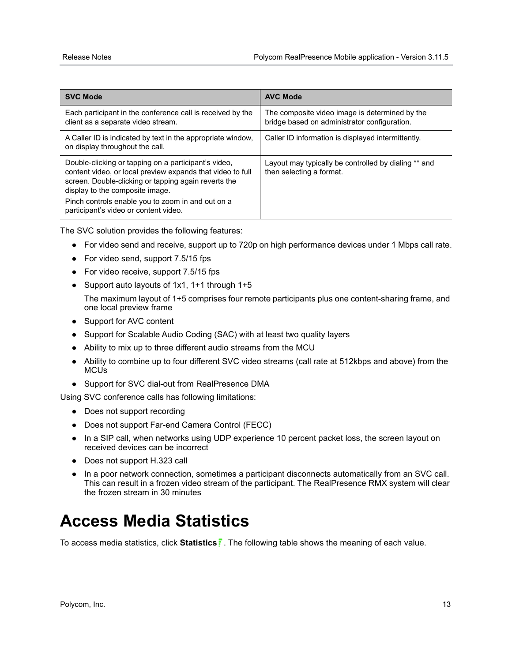| <b>SVC Mode</b>                                                                                                                                                                                                                                                                                             | <b>AVC Mode</b>                                                                                |
|-------------------------------------------------------------------------------------------------------------------------------------------------------------------------------------------------------------------------------------------------------------------------------------------------------------|------------------------------------------------------------------------------------------------|
| Each participant in the conference call is received by the<br>client as a separate video stream.                                                                                                                                                                                                            | The composite video image is determined by the<br>bridge based on administrator configuration. |
| A Caller ID is indicated by text in the appropriate window,<br>on display throughout the call.                                                                                                                                                                                                              | Caller ID information is displayed intermittently.                                             |
| Double-clicking or tapping on a participant's video,<br>content video, or local preview expands that video to full<br>screen. Double-clicking or tapping again reverts the<br>display to the composite image.<br>Pinch controls enable you to zoom in and out on a<br>participant's video or content video. | Layout may typically be controlled by dialing ** and<br>then selecting a format.               |

The SVC solution provides the following features:

- **●** For video send and receive, support up to 720p on high performance devices under 1 Mbps call rate.
- **●** For video send, support 7.5/15 fps
- **●** For video receive, support 7.5/15 fps
- **●** Support auto layouts of 1x1, 1+1 through 1+5

The maximum layout of 1+5 comprises four remote participants plus one content-sharing frame, and one local preview frame

- **●** Support for AVC content
- **●** Support for Scalable Audio Coding (SAC) with at least two quality layers
- **●** Ability to mix up to three different audio streams from the MCU
- **●** Ability to combine up to four different SVC video streams (call rate at 512kbps and above) from the MCUs
- **●** Support for SVC dial-out from RealPresence DMA

Using SVC conference calls has following limitations:

- **●** Does not support recording
- **●** Does not support Far-end Camera Control (FECC)
- **●** In a SIP call, when networks using UDP experience 10 percent packet loss, the screen layout on received devices can be incorrect
- **●** Does not support H.323 call
- **●** In a poor network connection, sometimes a participant disconnects automatically from an SVC call. This can result in a frozen video stream of the participant. The RealPresence RMX system will clear the frozen stream in 30 minutes

# <span id="page-12-0"></span>**Access Media Statistics**

To access media statistics, click **Statistics** . The following table shows the meaning of each value.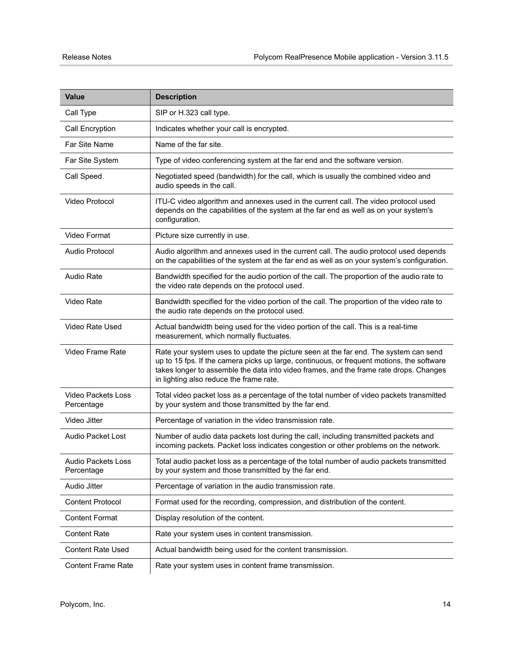| <b>Value</b>                     | <b>Description</b>                                                                                                                                                                                                                                                                                                     |
|----------------------------------|------------------------------------------------------------------------------------------------------------------------------------------------------------------------------------------------------------------------------------------------------------------------------------------------------------------------|
| Call Type                        | SIP or H.323 call type.                                                                                                                                                                                                                                                                                                |
| Call Encryption                  | Indicates whether your call is encrypted.                                                                                                                                                                                                                                                                              |
| Far Site Name                    | Name of the far site.                                                                                                                                                                                                                                                                                                  |
| Far Site System                  | Type of video conferencing system at the far end and the software version.                                                                                                                                                                                                                                             |
| Call Speed                       | Negotiated speed (bandwidth) for the call, which is usually the combined video and<br>audio speeds in the call.                                                                                                                                                                                                        |
| Video Protocol                   | ITU-C video algorithm and annexes used in the current call. The video protocol used<br>depends on the capabilities of the system at the far end as well as on your system's<br>configuration.                                                                                                                          |
| Video Format                     | Picture size currently in use.                                                                                                                                                                                                                                                                                         |
| Audio Protocol                   | Audio algorithm and annexes used in the current call. The audio protocol used depends<br>on the capabilities of the system at the far end as well as on your system's configuration.                                                                                                                                   |
| <b>Audio Rate</b>                | Bandwidth specified for the audio portion of the call. The proportion of the audio rate to<br>the video rate depends on the protocol used.                                                                                                                                                                             |
| Video Rate                       | Bandwidth specified for the video portion of the call. The proportion of the video rate to<br>the audio rate depends on the protocol used.                                                                                                                                                                             |
| Video Rate Used                  | Actual bandwidth being used for the video portion of the call. This is a real-time<br>measurement, which normally fluctuates.                                                                                                                                                                                          |
| Video Frame Rate                 | Rate your system uses to update the picture seen at the far end. The system can send<br>up to 15 fps. If the camera picks up large, continuous, or frequent motions, the software<br>takes longer to assemble the data into video frames, and the frame rate drops. Changes<br>in lighting also reduce the frame rate. |
| Video Packets Loss<br>Percentage | Total video packet loss as a percentage of the total number of video packets transmitted<br>by your system and those transmitted by the far end.                                                                                                                                                                       |
| Video Jitter                     | Percentage of variation in the video transmission rate.                                                                                                                                                                                                                                                                |
| Audio Packet Lost                | Number of audio data packets lost during the call, including transmitted packets and<br>incoming packets. Packet loss indicates congestion or other problems on the network.                                                                                                                                           |
| Audio Packets Loss<br>Percentage | Total audio packet loss as a percentage of the total number of audio packets transmitted<br>by your system and those transmitted by the far end.                                                                                                                                                                       |
| <b>Audio Jitter</b>              | Percentage of variation in the audio transmission rate.                                                                                                                                                                                                                                                                |
| <b>Content Protocol</b>          | Format used for the recording, compression, and distribution of the content.                                                                                                                                                                                                                                           |
| <b>Content Format</b>            | Display resolution of the content.                                                                                                                                                                                                                                                                                     |
| <b>Content Rate</b>              | Rate your system uses in content transmission.                                                                                                                                                                                                                                                                         |
| <b>Content Rate Used</b>         | Actual bandwidth being used for the content transmission.                                                                                                                                                                                                                                                              |
| <b>Content Frame Rate</b>        | Rate your system uses in content frame transmission.                                                                                                                                                                                                                                                                   |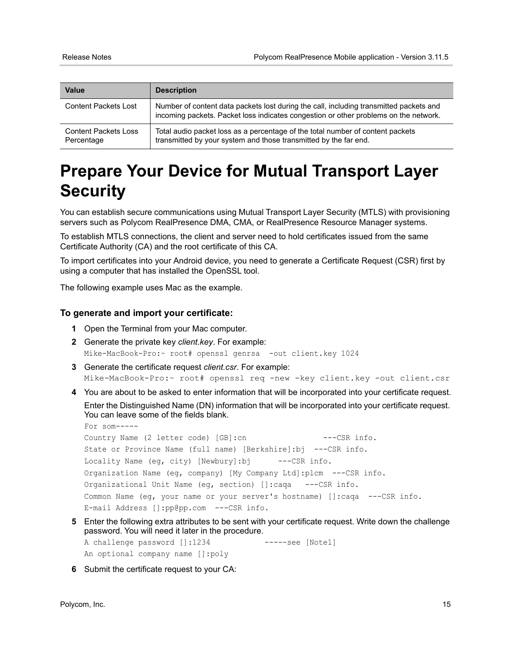| <b>Value</b>                              | <b>Description</b>                                                                                                                                                             |
|-------------------------------------------|--------------------------------------------------------------------------------------------------------------------------------------------------------------------------------|
| <b>Content Packets Lost</b>               | Number of content data packets lost during the call, including transmitted packets and<br>incoming packets. Packet loss indicates congestion or other problems on the network. |
| <b>Content Packets Loss</b><br>Percentage | Total audio packet loss as a percentage of the total number of content packets<br>transmitted by your system and those transmitted by the far end.                             |

# <span id="page-14-0"></span>**Prepare Your Device for Mutual Transport Layer Security**

You can establish secure communications using Mutual Transport Layer Security (MTLS) with provisioning servers such as Polycom RealPresence DMA, CMA, or RealPresence Resource Manager systems.

To establish MTLS connections, the client and server need to hold certificates issued from the same Certificate Authority (CA) and the root certificate of this CA.

To import certificates into your Android device, you need to generate a Certificate Request (CSR) first by using a computer that has installed the OpenSSL tool.

The following example uses Mac as the example.

#### **To generate and import your certificate:**

- **1** Open the Terminal from your Mac computer.
- **2** Generate the private key *client.key*. For example: Mike-MacBook-Pro:~ root# openssl genrsa -out client.key 1024
- **3** Generate the certificate request *client.csr*. For example: Mike-MacBook-Pro:~ root# openssl req -new -key client.key -out client.csr
- **4** You are about to be asked to enter information that will be incorporated into your certificate request.

Enter the Distinguished Name (DN) information that will be incorporated into your certificate request. You can leave some of the fields blank.

```
For som-----
Country Name (2 letter code) [GB]:cn ---CSR info.
State or Province Name (full name) [Berkshire]:bj ---CSR info.
Locality Name (eq, city) [Newbury]:bj ---CSR info.
Organization Name (eg, company) [My Company Ltd]:plcm ---CSR info.
Organizational Unit Name (eg, section) []:caqa ---CSR info.
Common Name (eg, your name or your server's hostname) []:caqa ---CSR info.
E-mail Address []:pp@pp.com ---CSR info.
```
**5** Enter the following extra attributes to be sent with your certificate request. Write down the challenge password. You will need it later in the procedure.

A challenge password []:1234 -----see [Note1] An optional company name []:poly

**6** Submit the certificate request to your CA: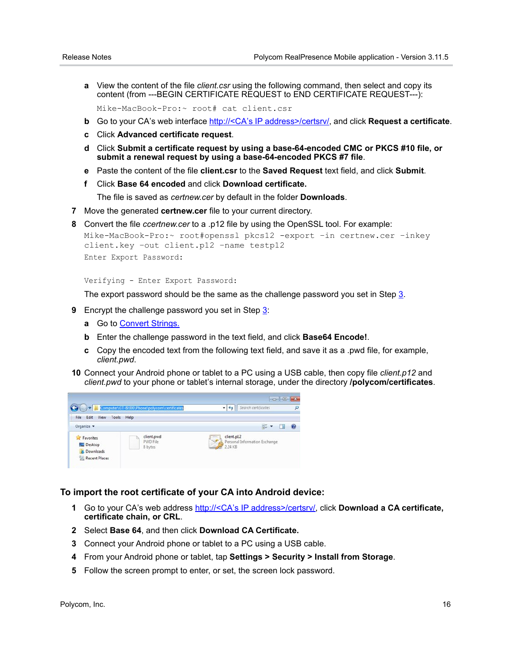- **a** View the content of the file *client.csr* using the following command, then select and copy its content (from ---BEGIN CERTIFICATE REQUEST to END CERTIFICATE REQUEST---):
- Mike-MacBook-Pro:~ root# cat client.csr
- **b** Go to your CA's web interface http://<CA's IP address>/certsrv/, and click **Request a certificate**.
- **c** Click **Advanced certificate request**.
- **d** Click **Submit a certificate request by using a base-64-encoded CMC or PKCS #10 file, or submit a renewal request by using a base-64-encoded PKCS #7 file**.
- **e** Paste the content of the file **client.csr** to the **Saved Request** text field, and click **Submit**.
- **f** Click **Base 64 encoded** and click **Download certificate.**

The file is saved as *certnew.cer* by default in the folder **Downloads**.

- **7** Move the generated **certnew.cer** file to your current directory.
- **8** Convert the file *ccertnew.cer* to a .p12 file by using the OpenSSL tool. For example:

```
Mike-MacBook-Pro:~ root#openssl pkcs12 -export –in certnew.cer –inkey 
client.key –out client.p12 –name testp12
Enter Export Password:
```
Verifying - Enter Export Password:

The export password should be the same as the challenge password you set in Step 3.

- **9** Encrypt the challenge password you set in Step 3:
	- **a** Go to [Convert Strings.](http://www.convertstring.com/EncodeDecode/Base64Encode)
	- **b** Enter the challenge password in the text field, and click **Base64 Encode!**.
	- **c** Copy the encoded text from the following text field, and save it as a .pwd file, for example, *client.pwd*.
- **10** Connect your Android phone or tablet to a PC using a USB cable, then copy file *client.p12* and *client.pwd* to your phone or tablet's internal storage, under the directory **/polycom/certificates**.



#### **To import the root certificate of your CA into Android device:**

- **1** Go to your CA's web address http://<CA's IP address>/certsrv/, click **Download a CA certificate, certificate chain, or CRL**.
- **2** Select **Base 64**, and then click **Download CA Certificate.**
- **3** Connect your Android phone or tablet to a PC using a USB cable.
- **4** From your Android phone or tablet, tap **Settings > Security > Install from Storage**.
- **5** Follow the screen prompt to enter, or set, the screen lock password.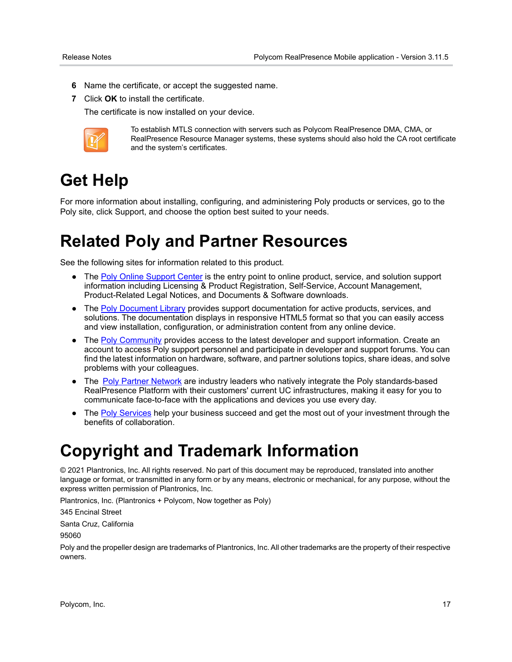- **6** Name the certificate, or accept the suggested name.
- **7** Click **OK** to install the certificate.

The certificate is now installed on your device.



To establish MTLS connection with servers such as Polycom RealPresence DMA, CMA, or RealPresence Resource Manager systems, these systems should also hold the CA root certificate and the system's certificates.

# <span id="page-16-0"></span>**Get Help**

For more information about installing, configuring, and administering Poly products or services, go to the Poly site, click Support, and choose the option best suited to your needs.

## <span id="page-16-1"></span>**Related Poly and Partner Resources**

See the following sites for information related to this product.

- **●** The [Poly Online Support Center](https://support.polycom.com/content/support.html) is the entry point to online product, service, and solution support information including Licensing & Product Registration, Self-Service, Account Management, Product-Related Legal Notices, and Documents & Software downloads.
- **●** The [Poly Document Library](https://documents.polycom.com/) provides support documentation for active products, services, and solutions. The documentation displays in responsive HTML5 format so that you can easily access and view installation, configuration, or administration content from any online device.
- **•** The **Poly Community** provides access to the latest developer and support information. Create an account to access Poly support personnel and participate in developer and support forums. You can find the latest information on hardware, software, and partner solutions topics, share ideas, and solve problems with your colleagues.
- The [Poly Partner Network](https://www.poly.com/us/en/partners) are industry leaders who natively integrate the Poly standards-based RealPresence Platform with their customers' current UC infrastructures, making it easy for you to communicate face-to-face with the applications and devices you use every day.
- The [Poly Services](https://www.poly.com/us/en/products/services) help your business succeed and get the most out of your investment through the benefits of collaboration.

## <span id="page-16-2"></span>**Copyright and Trademark Information**

© 2021 Plantronics, Inc. All rights reserved. No part of this document may be reproduced, translated into another language or format, or transmitted in any form or by any means, electronic or mechanical, for any purpose, without the express written permission of Plantronics, Inc.

Plantronics, Inc. (Plantronics + Polycom, Now together as Poly)

345 Encinal Street

Santa Cruz, California

95060

Poly and the propeller design are trademarks of Plantronics, Inc. All other trademarks are the property of their respective owners.